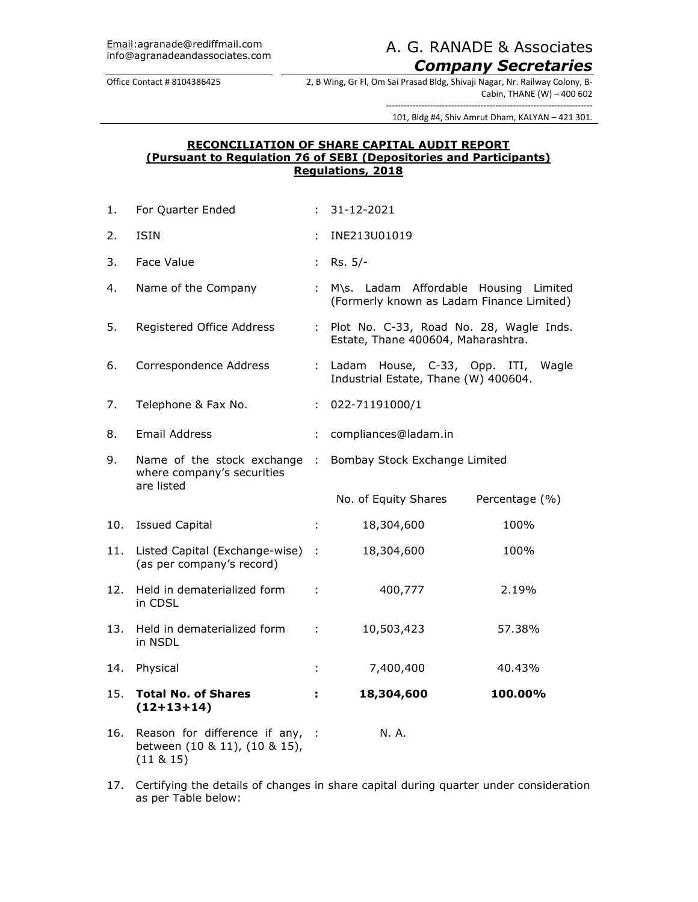# A. G. RANADE & Associates. *Company Secretaries*

Office Contact # 8104386425 2, B Wing, Gr Fl, Om Sai Prasad Bldg, Shivaji Nagar, Nr. Railway Colony, B-Cabin, THANE (W) – 400 602

> ---------------------------------------------------------------------- 101, Bldg #4, Shiv Amrut Dham, KALYAN – 421 301.

## **RECONCILIATION OF SHARE CAPITAL AUDIT REPORT (Pursuant to Regulation 76 of SEBI (Depositories and Participants) Regulations, 2018**

| 1.  | For Quarter Ended                                                            |                  | 31-12-2021                                                                         |                |
|-----|------------------------------------------------------------------------------|------------------|------------------------------------------------------------------------------------|----------------|
| 2.  | <b>ISIN</b>                                                                  | ÷                | INE213U01019                                                                       |                |
| 3.  | Face Value                                                                   | ÷                | Rs. 5/-                                                                            |                |
| 4.  | Name of the Company                                                          | ÷.               | M\s. Ladam Affordable Housing Limited<br>(Formerly known as Ladam Finance Limited) |                |
| 5.  | Registered Office Address                                                    | t.               | Plot No. C-33, Road No. 28, Wagle Inds.<br>Estate, Thane 400604, Maharashtra.      |                |
| 6.  | Correspondence Address                                                       | ÷.               | Ladam House, C-33, Opp. ITI, Wagle<br>Industrial Estate, Thane (W) 400604.         |                |
| 7.  | Telephone & Fax No.                                                          | ÷.               | 022-71191000/1                                                                     |                |
| 8.  | <b>Email Address</b>                                                         | ÷.               | compliances@ladam.in                                                               |                |
| 9.  | Name of the stock exchange<br>where company's securities<br>are listed       | $\sim$ 10 $\sim$ | Bombay Stock Exchange Limited                                                      |                |
|     |                                                                              |                  | No. of Equity Shares                                                               | Percentage (%) |
| 10. | <b>Issued Capital</b>                                                        | ÷                | 18,304,600                                                                         | 100%           |
| 11. | Listed Capital (Exchange-wise) :<br>(as per company's record)                |                  | 18,304,600                                                                         | 100%           |
| 12. | Held in dematerialized form<br>in CDSL                                       | ÷                | 400,777                                                                            | 2.19%          |
| 13. | Held in dematerialized form<br>in NSDL                                       | ÷                | 10,503,423                                                                         | 57.38%         |
| 14. | Physical                                                                     | ÷                | 7,400,400                                                                          | 40.43%         |
| 15. | <b>Total No. of Shares</b><br>$(12+13+14)$                                   | ÷.               | 18,304,600                                                                         | 100.00%        |
| 16. | Reason for difference if any,<br>between (10 & 11), (10 & 15),<br>(11 & 815) | -1               | N. A.                                                                              |                |

17. Certifying the details of changes in share capital during quarter under consideration as per Table below: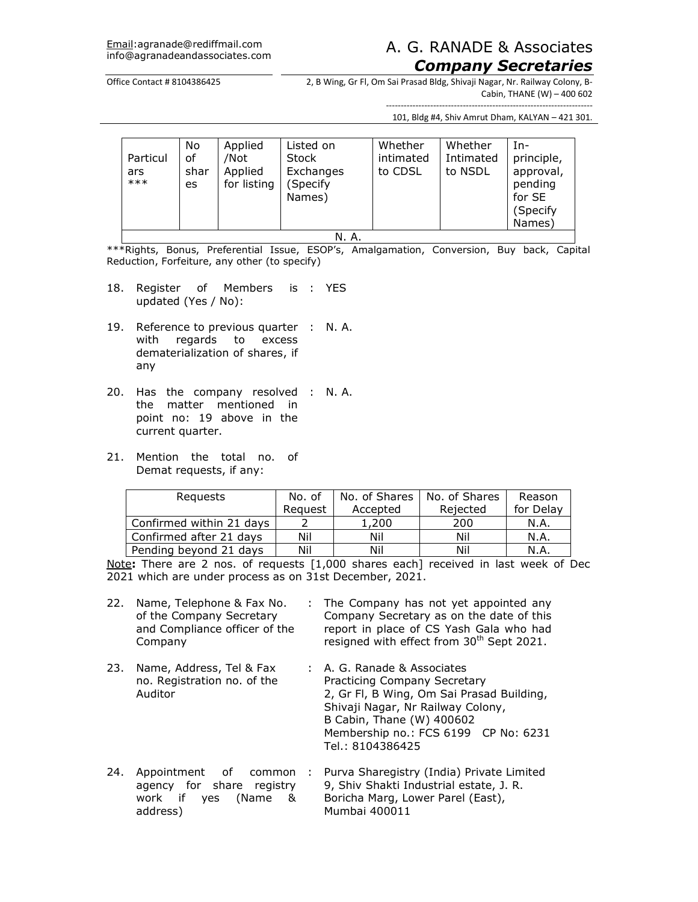## A. G. RANADE & Associates. *Company Secretaries*

#### Office Contact # 8104386425 2, B Wing, Gr Fl, Om Sai Prasad Bldg, Shivaji Nagar, Nr. Railway Colony, B-Cabin, THANE (W) – 400 602

---------------------------------------------------------------------- 101, Bldg #4, Shiv Amrut Dham, KALYAN – 421 301.

| Particul<br>ars<br>$***$ | No<br>of<br>shar<br>es | Applied<br>/Not<br>Applied<br>for listing | Listed on<br><b>Stock</b><br>Exchanges<br>Specify<br>Names) | Whether<br>intimated<br>to CDSL | Whether<br>Intimated<br>to NSDL | Tn-<br>principle,<br>approval,<br>pending<br>for SE<br>(Specify<br>Names) |
|--------------------------|------------------------|-------------------------------------------|-------------------------------------------------------------|---------------------------------|---------------------------------|---------------------------------------------------------------------------|
|                          | N. A.                  |                                           |                                                             |                                 |                                 |                                                                           |

\*\*\*Rights, Bonus, Preferential Issue, ESOP's, Amalgamation, Conversion, Buy back, Capital Reduction, Forfeiture, any other (to specify)

- 18. Register of Members is : YES updated (Yes / No):
- 19. Reference to previous quarter : N. A. with regards to excess dematerialization of shares, if any
- 20. Has the company resolved : N. A. the matter mentioned in point no: 19 above in the current quarter.
- 21. Mention the total no. of Demat requests, if any:

| Reguests                 | No. of  | No. of Shares | No. of Shares | Reason    |
|--------------------------|---------|---------------|---------------|-----------|
|                          | Reauest | Accepted      | Rejected      | for Delay |
| Confirmed within 21 days |         | 1,200         | 200           | N.A.      |
| Confirmed after 21 days  | Nil     | Nil           | Nil           | N.A.      |
| Pending beyond 21 days   | Nil     | Nil           | Nil           | N.A.      |

Note**:** There are 2 nos. of requests [1,000 shares each] received in last week of Dec 2021 which are under process as on 31st December, 2021.

| 22. | Name, Telephone & Fax No.<br>of the Company Secretary<br>and Compliance officer of the<br>Company | t. | The Company has not yet appointed any<br>Company Secretary as on the date of this<br>report in place of CS Yash Gala who had<br>resigned with effect from 30 <sup>th</sup> Sept 2021.                                                  |
|-----|---------------------------------------------------------------------------------------------------|----|----------------------------------------------------------------------------------------------------------------------------------------------------------------------------------------------------------------------------------------|
| 23. | Name, Address, Tel & Fax<br>no. Registration no. of the<br>Auditor                                |    | : A. G. Ranade & Associates<br>Practicing Company Secretary<br>2, Gr Fl, B Wing, Om Sai Prasad Building,<br>Shivaji Nagar, Nr Railway Colony,<br>B Cabin, Thane (W) 400602<br>Membership no.: FCS 6199 CP No: 6231<br>Tel.: 8104386425 |
| 24. | Appointment<br>of<br>common<br>agency for share registry<br>work if yes<br>(Name &<br>address)    |    | Purva Sharegistry (India) Private Limited<br>9, Shiv Shakti Industrial estate, J. R.<br>Boricha Marg, Lower Parel (East),<br>Mumbai 400011                                                                                             |